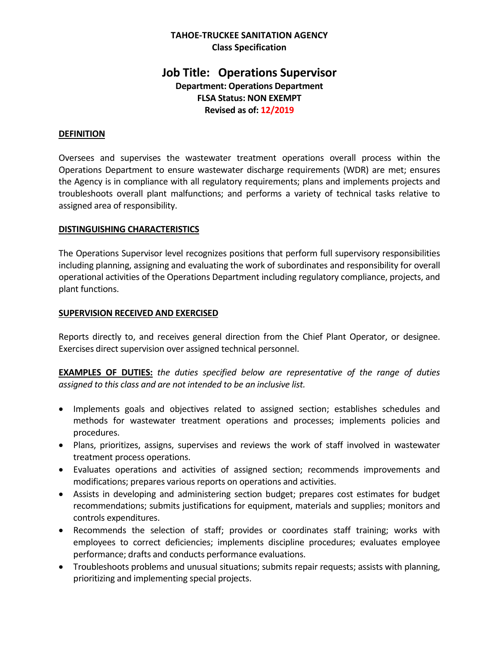### **TAHOE-TRUCKEE SANITATION AGENCY Class Specification**

# **Job Title: Operations Supervisor Department: Operations Department FLSA Status: NON EXEMPT Revised as of: 12/2019**

### **DEFINITION**

Oversees and supervises the wastewater treatment operations overall process within the Operations Department to ensure wastewater discharge requirements (WDR) are met; ensures the Agency is in compliance with all regulatory requirements; plans and implements projects and troubleshoots overall plant malfunctions; and performs a variety of technical tasks relative to assigned area of responsibility.

### **DISTINGUISHING CHARACTERISTICS**

The Operations Supervisor level recognizes positions that perform full supervisory responsibilities including planning, assigning and evaluating the work of subordinates and responsibility for overall operational activities of the Operations Department including regulatory compliance, projects, and plant functions.

#### **SUPERVISION RECEIVED AND EXERCISED**

Reports directly to, and receives general direction from the Chief Plant Operator, or designee. Exercises direct supervision over assigned technical personnel.

**EXAMPLES OF DUTIES:** *the duties specified below are representative of the range of duties assigned to this class and are not intended to be an inclusive list.*

- Implements goals and objectives related to assigned section; establishes schedules and methods for wastewater treatment operations and processes; implements policies and procedures.
- Plans, prioritizes, assigns, supervises and reviews the work of staff involved in wastewater treatment process operations.
- Evaluates operations and activities of assigned section; recommends improvements and modifications; prepares various reports on operations and activities.
- Assists in developing and administering section budget; prepares cost estimates for budget recommendations; submits justifications for equipment, materials and supplies; monitors and controls expenditures.
- Recommends the selection of staff; provides or coordinates staff training; works with employees to correct deficiencies; implements discipline procedures; evaluates employee performance; drafts and conducts performance evaluations.
- Troubleshoots problems and unusual situations; submits repair requests; assists with planning, prioritizing and implementing special projects.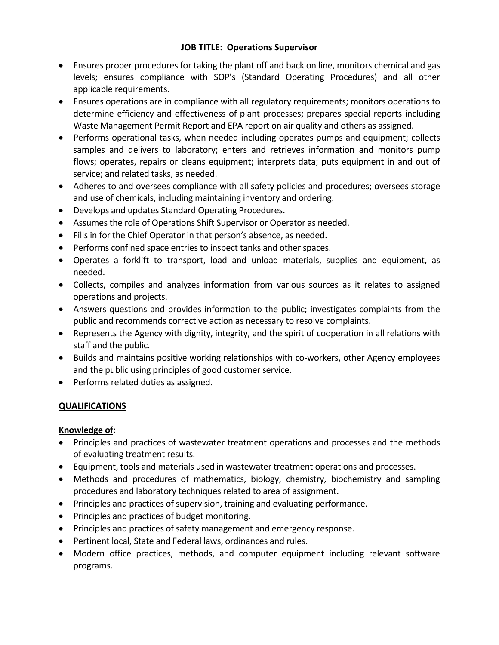- Ensures proper procedures for taking the plant off and back on line, monitors chemical and gas levels; ensures compliance with SOP's (Standard Operating Procedures) and all other applicable requirements.
- Ensures operations are in compliance with all regulatory requirements; monitors operations to determine efficiency and effectiveness of plant processes; prepares special reports including Waste Management Permit Report and EPA report on air quality and others as assigned.
- Performs operational tasks, when needed including operates pumps and equipment; collects samples and delivers to laboratory; enters and retrieves information and monitors pump flows; operates, repairs or cleans equipment; interprets data; puts equipment in and out of service; and related tasks, as needed.
- Adheres to and oversees compliance with all safety policies and procedures; oversees storage and use of chemicals, including maintaining inventory and ordering.
- Develops and updates Standard Operating Procedures.
- Assumes the role of Operations Shift Supervisor or Operator as needed.
- Fills in for the Chief Operator in that person's absence, as needed.
- Performs confined space entries to inspect tanks and other spaces.
- Operates a forklift to transport, load and unload materials, supplies and equipment, as needed.
- Collects, compiles and analyzes information from various sources as it relates to assigned operations and projects.
- Answers questions and provides information to the public; investigates complaints from the public and recommends corrective action as necessary to resolve complaints.
- Represents the Agency with dignity, integrity, and the spirit of cooperation in all relations with staff and the public.
- Builds and maintains positive working relationships with co-workers, other Agency employees and the public using principles of good customer service.
- Performs related duties as assigned.

# **QUALIFICATIONS**

# **Knowledge of:**

- Principles and practices of wastewater treatment operations and processes and the methods of evaluating treatment results.
- Equipment, tools and materials used in wastewater treatment operations and processes.
- Methods and procedures of mathematics, biology, chemistry, biochemistry and sampling procedures and laboratory techniques related to area of assignment.
- Principles and practices of supervision, training and evaluating performance.
- Principles and practices of budget monitoring.
- Principles and practices of safety management and emergency response.
- Pertinent local, State and Federal laws, ordinances and rules.
- Modern office practices, methods, and computer equipment including relevant software programs.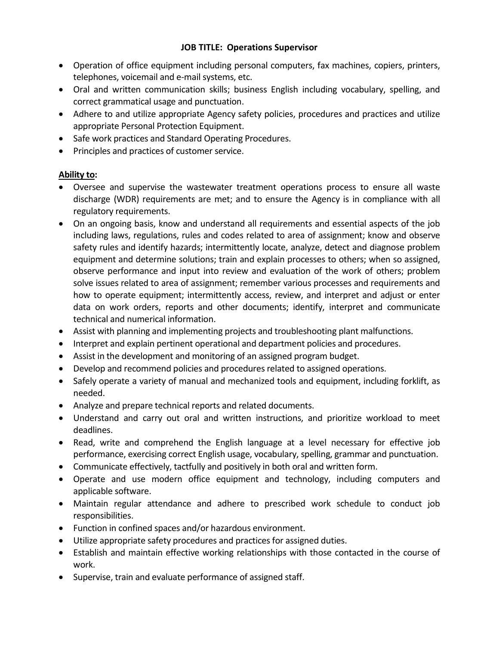- Operation of office equipment including personal computers, fax machines, copiers, printers, telephones, voicemail and e-mail systems, etc.
- Oral and written communication skills; business English including vocabulary, spelling, and correct grammatical usage and punctuation.
- Adhere to and utilize appropriate Agency safety policies, procedures and practices and utilize appropriate Personal Protection Equipment.
- Safe work practices and Standard Operating Procedures.
- Principles and practices of customer service.

# **Ability to:**

- Oversee and supervise the wastewater treatment operations process to ensure all waste discharge (WDR) requirements are met; and to ensure the Agency is in compliance with all regulatory requirements.
- On an ongoing basis, know and understand all requirements and essential aspects of the job including laws, regulations, rules and codes related to area of assignment; know and observe safety rules and identify hazards; intermittently locate, analyze, detect and diagnose problem equipment and determine solutions; train and explain processes to others; when so assigned, observe performance and input into review and evaluation of the work of others; problem solve issues related to area of assignment; remember various processes and requirements and how to operate equipment; intermittently access, review, and interpret and adjust or enter data on work orders, reports and other documents; identify, interpret and communicate technical and numerical information.
- Assist with planning and implementing projects and troubleshooting plant malfunctions.
- Interpret and explain pertinent operational and department policies and procedures.
- Assist in the development and monitoring of an assigned program budget.
- Develop and recommend policies and procedures related to assigned operations.
- Safely operate a variety of manual and mechanized tools and equipment, including forklift, as needed.
- Analyze and prepare technical reports and related documents.
- Understand and carry out oral and written instructions, and prioritize workload to meet deadlines.
- Read, write and comprehend the English language at a level necessary for effective job performance, exercising correct English usage, vocabulary, spelling, grammar and punctuation.
- Communicate effectively, tactfully and positively in both oral and written form.
- Operate and use modern office equipment and technology, including computers and applicable software.
- Maintain regular attendance and adhere to prescribed work schedule to conduct job responsibilities.
- Function in confined spaces and/or hazardous environment.
- Utilize appropriate safety procedures and practices for assigned duties.
- Establish and maintain effective working relationships with those contacted in the course of work.
- Supervise, train and evaluate performance of assigned staff.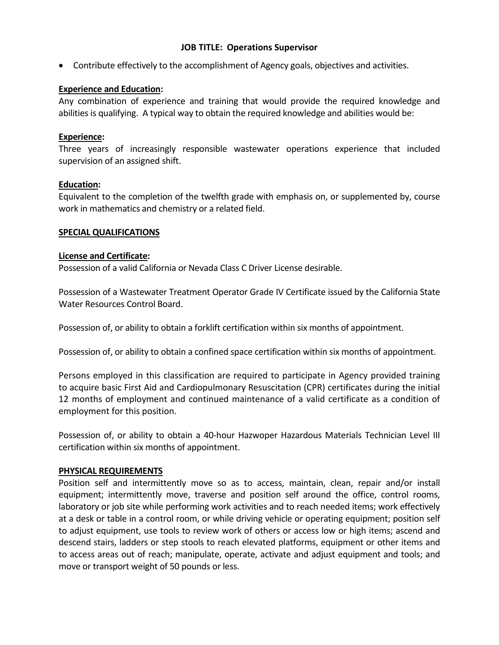• Contribute effectively to the accomplishment of Agency goals, objectives and activities.

### **Experience and Education:**

Any combination of experience and training that would provide the required knowledge and abilities is qualifying. A typical way to obtain the required knowledge and abilities would be:

#### **Experience:**

Three years of increasingly responsible wastewater operations experience that included supervision of an assigned shift.

#### **Education:**

Equivalent to the completion of the twelfth grade with emphasis on, or supplemented by, course work in mathematics and chemistry or a related field.

#### **SPECIAL QUALIFICATIONS**

#### **License and Certificate:**

Possession of a valid California or Nevada Class C Driver License desirable.

Possession of a Wastewater Treatment Operator Grade IV Certificate issued by the California State Water Resources Control Board.

Possession of, or ability to obtain a forklift certification within six months of appointment.

Possession of, or ability to obtain a confined space certification within six months of appointment.

Persons employed in this classification are required to participate in Agency provided training to acquire basic First Aid and Cardiopulmonary Resuscitation (CPR) certificates during the initial 12 months of employment and continued maintenance of a valid certificate as a condition of employment for this position.

Possession of, or ability to obtain a 40-hour Hazwoper Hazardous Materials Technician Level III certification within six months of appointment.

#### **PHYSICAL REQUIREMENTS**

Position self and intermittently move so as to access, maintain, clean, repair and/or install equipment; intermittently move, traverse and position self around the office, control rooms, laboratory or job site while performing work activities and to reach needed items; work effectively at a desk or table in a control room, or while driving vehicle or operating equipment; position self to adjust equipment, use tools to review work of others or access low or high items; ascend and descend stairs, ladders or step stools to reach elevated platforms, equipment or other items and to access areas out of reach; manipulate, operate, activate and adjust equipment and tools; and move or transport weight of 50 pounds or less.